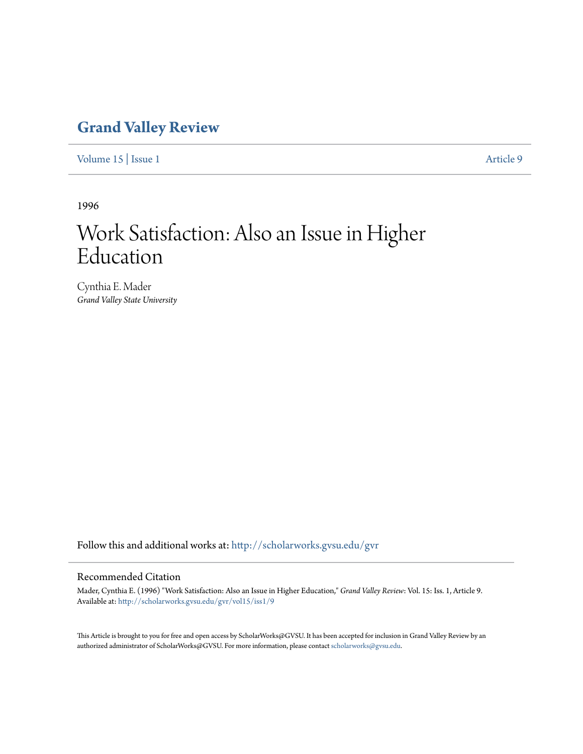## **[Grand Valley Review](http://scholarworks.gvsu.edu/gvr?utm_source=scholarworks.gvsu.edu%2Fgvr%2Fvol15%2Fiss1%2F9&utm_medium=PDF&utm_campaign=PDFCoverPages)**

[Volume 15](http://scholarworks.gvsu.edu/gvr/vol15?utm_source=scholarworks.gvsu.edu%2Fgvr%2Fvol15%2Fiss1%2F9&utm_medium=PDF&utm_campaign=PDFCoverPages) | [Issue 1](http://scholarworks.gvsu.edu/gvr/vol15/iss1?utm_source=scholarworks.gvsu.edu%2Fgvr%2Fvol15%2Fiss1%2F9&utm_medium=PDF&utm_campaign=PDFCoverPages) [Article 9](http://scholarworks.gvsu.edu/gvr/vol15/iss1/9?utm_source=scholarworks.gvsu.edu%2Fgvr%2Fvol15%2Fiss1%2F9&utm_medium=PDF&utm_campaign=PDFCoverPages)

1996

# Work Satisfaction: Also an Issue in Higher Education

Cynthia E. Mader *Grand Valley State University*

Follow this and additional works at: [http://scholarworks.gvsu.edu/gvr](http://scholarworks.gvsu.edu/gvr?utm_source=scholarworks.gvsu.edu%2Fgvr%2Fvol15%2Fiss1%2F9&utm_medium=PDF&utm_campaign=PDFCoverPages)

#### Recommended Citation

Mader, Cynthia E. (1996) "Work Satisfaction: Also an Issue in Higher Education," *Grand Valley Review*: Vol. 15: Iss. 1, Article 9. Available at: [http://scholarworks.gvsu.edu/gvr/vol15/iss1/9](http://scholarworks.gvsu.edu/gvr/vol15/iss1/9?utm_source=scholarworks.gvsu.edu%2Fgvr%2Fvol15%2Fiss1%2F9&utm_medium=PDF&utm_campaign=PDFCoverPages)

This Article is brought to you for free and open access by ScholarWorks@GVSU. It has been accepted for inclusion in Grand Valley Review by an authorized administrator of ScholarWorks@GVSU. For more information, please contact [scholarworks@gvsu.edu.](mailto:scholarworks@gvsu.edu)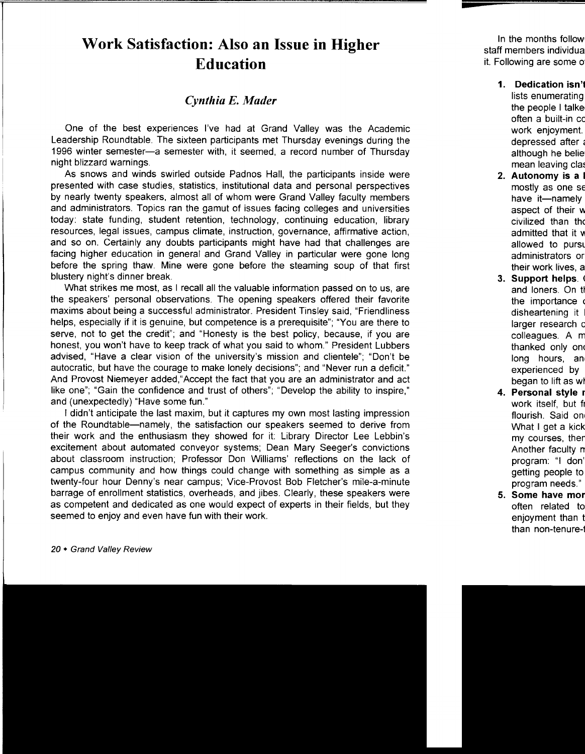## **Work Satisfaction: Also an Issue in Higher Education**

### *Cynthia E. Mader*

One of the best experiences I've had at Grand Valley was the Academic Leadership Roundtable. The sixteen participants met Thursday evenings during the 1996 winter semester-a semester with, it seemed, a record number of Thursday night blizzard warnings.

As snows and winds swirled outside Padnos Hall, the participants inside were presented with case studies, statistics, institutional data and personal perspectives by nearly twenty speakers, almost all of whom were Grand Valley faculty members and administrators. Topics ran the gamut of issues facing colleges and universities today: state funding, student retention, technology, continuing education, library resources, legal issues, campus climate, instruction, governance, affirmative action, and so on. Certainly any doubts participants might have had that challenges are facing higher education in general and Grand Valley in particular were gone long before the spring thaw. Mine were gone before the steaming soup of that first blustery night's dinner break.

What strikes me most, as I recall all the valuable information passed on to us, are the speakers' personal observations. The opening speakers offered their favorite maxims about being a successful administrator. President Tinsley said, "Friendliness helps, especially if it is genuine, but competence is a prerequisite"; "You are there to serve, not to get the credit"; and "Honesty is the best policy, because, if you are honest, you won't have to keep track of what you said to whom." President Lubbers advised, "Have a clear vision of the university's mission and clientele"; "Don't be autocratic, but have the courage to make lonely decisions"; and "Never run a deficit." And Provost Niemeyer added,"Accept the fact that you are an administrator and act like one"; "Gain the confidence and trust of others"; "Develop the ability to inspire," and (unexpectedly) "Have some fun."

I didn't anticipate the last maxim, but it captures my own most lasting impression of the Roundtable-namely, the satisfaction our speakers seemed to derive from their work and the enthusiasm they showed for it: Library Director Lee Lebbin's excitement about automated conveyor systems; Dean Mary Seeger's convictions about classroom instruction; Professor Don Williams' reflections on the lack of campus community and how things could change with something as simple as a twenty-four hour Denny's near campus; Vice-Provost Bob Fletcher's mile-a-minute barrage of enrollment statistics, overheads, and jibes. Clearly, these speakers were as competent and dedicated as one would expect of experts in their fields, but they seemed to enjoy and even have fun with their work.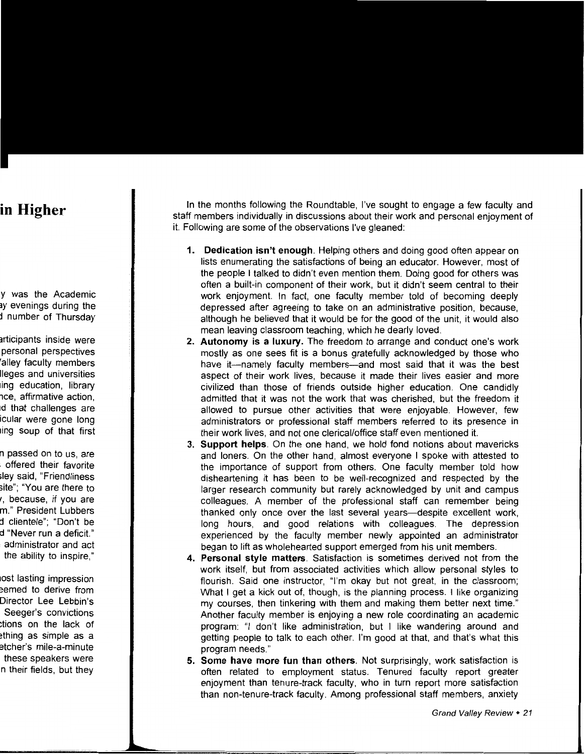In the months following the Roundtable, I've sought to engage a few faculty and staff members individually in discussions about their work and personal enjoyment of it. Following are some of the observations I've gleaned:

- **1. Dedication isn't enough.** Helping others and doing good often appear on lists enumerating the satisfactions of being an educator. However, most of the people I talked to didn't even mention them. Doing good for others was often a built-in component of their work, but it didn't seem central to their work enjoyment. In fact, one faculty member told of becoming deeply depressed after agreeing to take on an administrative position, because, although he believed that it would be for the good of the unit, it would also mean leaving classroom teaching, which he dearly loved.
- **2. Autonomy is a luxury.** The freedom to arrange and conduct one's work mostly as one sees fit is a bonus gratefully acknowledged by those who have it-namely faculty members-and most said that it was the best aspect of their work lives, because it made their lives easier and more civilized than those of friends outside higher education. One candidly admitted that it was not the work that was cherished, but the freedom it allowed to pursue other activities that were enjoyable. However, few administrators or professional staff members referred to its presence in their work lives, and not one clerical/office staff even mentioned it.
- **3. Support helps.** On the one hand, we hold fond notions about mavericks and loners. On the other hand, almost everyone I spoke with attested to the importance of support from others. One faculty member told how disheartening it has been to be well-recognized and respected by the larger research community but rarely acknowledged by unit and campus colleagues. A member of the professional staff can remember being thanked only once over the last several years—despite excellent work, long hours, and good relations with colleagues. The depression experienced by the faculty member newly appointed an administrator began to lift as wholehearted support emerged from his unit members.
- **4. Personal style matters.** Satisfaction is sometimes derived not from the work itself, but from associated activities which allow personal styles to flourish. Said one instructor, "I'm okay but not great, in the classroom; What I get a kick out of, though, is the planning process. I like organizing my courses, then tinkering with them and making them better next time." Another faculty member is enjoying a new role coordinating an academic program: "I don't like administration, but I like wandering around and getting people to talk to each other. I'm good at that, and that's what this program needs."
- **5. Some have more fun than others.** Not surprisingly, work satisfaction is often related to employment status. Tenured faculty report greater enjoyment than tenure-track faculty, who in turn report more satisfaction than non-tenure-track faculty. Among professional staff members, anxiety